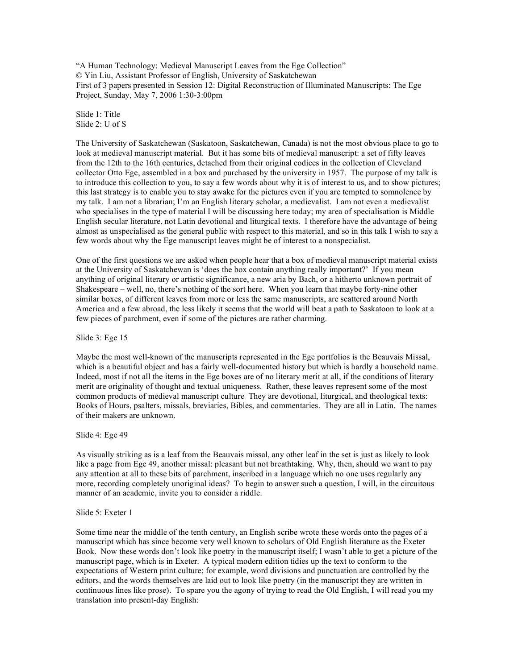"A Human Technology: Medieval Manuscript Leaves from the Ege Collection" © Yin Liu, Assistant Professor of English, University of Saskatchewan First of 3 papers presented in Session 12: Digital Reconstruction of Illuminated Manuscripts: The Ege Project, Sunday, May 7, 2006 1:30-3:00pm

Slide 1: Title Slide 2: U of S

The University of Saskatchewan (Saskatoon, Saskatchewan, Canada) is not the most obvious place to go to look at medieval manuscript material. But it has some bits of medieval manuscript: a set of fifty leaves from the 12th to the 16th centuries, detached from their original codices in the collection of Cleveland collector Otto Ege, assembled in a box and purchased by the university in 1957. The purpose of my talk is to introduce this collection to you, to say a few words about why it is of interest to us, and to show pictures; this last strategy is to enable you to stay awake for the pictures even if you are tempted to somnolence by my talk. I am not a librarian; I'm an English literary scholar, a medievalist. I am not even a medievalist who specialises in the type of material I will be discussing here today; my area of specialisation is Middle English secular literature, not Latin devotional and liturgical texts. I therefore have the advantage of being almost as unspecialised as the general public with respect to this material, and so in this talk I wish to say a few words about why the Ege manuscript leaves might be of interest to a nonspecialist.

One of the first questions we are asked when people hear that a box of medieval manuscript material exists at the University of Saskatchewan is 'does the box contain anything really important?' If you mean anything of original literary or artistic significance, a new aria by Bach, or a hitherto unknown portrait of Shakespeare – well, no, there's nothing of the sort here. When you learn that maybe forty-nine other similar boxes, of different leaves from more or less the same manuscripts, are scattered around North America and a few abroad, the less likely it seems that the world will beat a path to Saskatoon to look at a few pieces of parchment, even if some of the pictures are rather charming.

Slide 3: Ege 15

Maybe the most well-known of the manuscripts represented in the Ege portfolios is the Beauvais Missal, which is a beautiful object and has a fairly well-documented history but which is hardly a household name. Indeed, most if not all the items in the Ege boxes are of no literary merit at all, if the conditions of literary merit are originality of thought and textual uniqueness. Rather, these leaves represent some of the most common products of medieval manuscript culture They are devotional, liturgical, and theological texts: Books of Hours, psalters, missals, breviaries, Bibles, and commentaries. They are all in Latin. The names of their makers are unknown.

Slide 4: Ege 49

As visually striking as is a leaf from the Beauvais missal, any other leaf in the set is just as likely to look like a page from Ege 49, another missal: pleasant but not breathtaking. Why, then, should we want to pay any attention at all to these bits of parchment, inscribed in a language which no one uses regularly any more, recording completely unoriginal ideas? To begin to answer such a question, I will, in the circuitous manner of an academic, invite you to consider a riddle.

### Slide 5: Exeter 1

Some time near the middle of the tenth century, an English scribe wrote these words onto the pages of a manuscript which has since become very well known to scholars of Old English literature as the Exeter Book. Now these words don't look like poetry in the manuscript itself; I wasn't able to get a picture of the manuscript page, which is in Exeter. A typical modern edition tidies up the text to conform to the expectations of Western print culture; for example, word divisions and punctuation are controlled by the editors, and the words themselves are laid out to look like poetry (in the manuscript they are written in continuous lines like prose). To spare you the agony of trying to read the Old English, I will read you my translation into present-day English: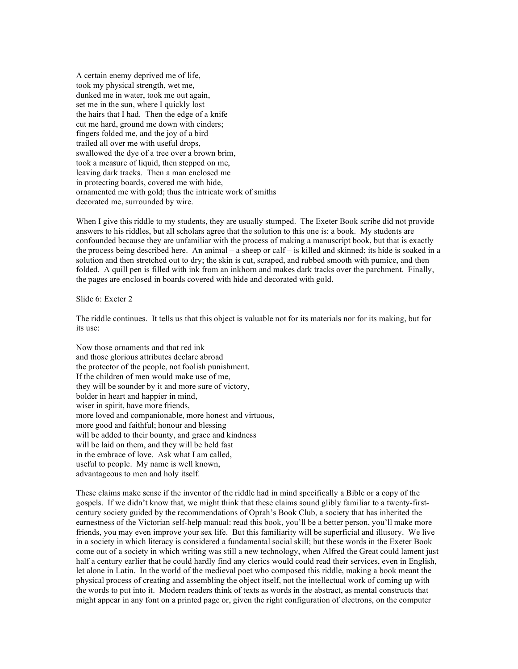A certain enemy deprived me of life, took my physical strength, wet me, dunked me in water, took me out again, set me in the sun, where I quickly lost the hairs that I had. Then the edge of a knife cut me hard, ground me down with cinders; fingers folded me, and the joy of a bird trailed all over me with useful drops, swallowed the dye of a tree over a brown brim, took a measure of liquid, then stepped on me, leaving dark tracks. Then a man enclosed me in protecting boards, covered me with hide, ornamented me with gold; thus the intricate work of smiths decorated me, surrounded by wire.

When I give this riddle to my students, they are usually stumped. The Exeter Book scribe did not provide answers to his riddles, but all scholars agree that the solution to this one is: a book. My students are confounded because they are unfamiliar with the process of making a manuscript book, but that is exactly the process being described here. An animal – a sheep or calf – is killed and skinned; its hide is soaked in a solution and then stretched out to dry; the skin is cut, scraped, and rubbed smooth with pumice, and then folded. A quill pen is filled with ink from an inkhorn and makes dark tracks over the parchment. Finally, the pages are enclosed in boards covered with hide and decorated with gold.

### Slide 6: Exeter 2

The riddle continues. It tells us that this object is valuable not for its materials nor for its making, but for its use:

Now those ornaments and that red ink and those glorious attributes declare abroad the protector of the people, not foolish punishment. If the children of men would make use of me, they will be sounder by it and more sure of victory, bolder in heart and happier in mind, wiser in spirit, have more friends. more loved and companionable, more honest and virtuous, more good and faithful; honour and blessing will be added to their bounty, and grace and kindness will be laid on them, and they will be held fast in the embrace of love. Ask what I am called, useful to people. My name is well known, advantageous to men and holy itself.

These claims make sense if the inventor of the riddle had in mind specifically a Bible or a copy of the gospels. If we didn't know that, we might think that these claims sound glibly familiar to a twenty-firstcentury society guided by the recommendations of Oprah's Book Club, a society that has inherited the earnestness of the Victorian self-help manual: read this book, you'll be a better person, you'll make more friends, you may even improve your sex life. But this familiarity will be superficial and illusory. We live in a society in which literacy is considered a fundamental social skill; but these words in the Exeter Book come out of a society in which writing was still a new technology, when Alfred the Great could lament just half a century earlier that he could hardly find any clerics would could read their services, even in English, let alone in Latin. In the world of the medieval poet who composed this riddle, making a book meant the physical process of creating and assembling the object itself, not the intellectual work of coming up with the words to put into it. Modern readers think of texts as words in the abstract, as mental constructs that might appear in any font on a printed page or, given the right configuration of electrons, on the computer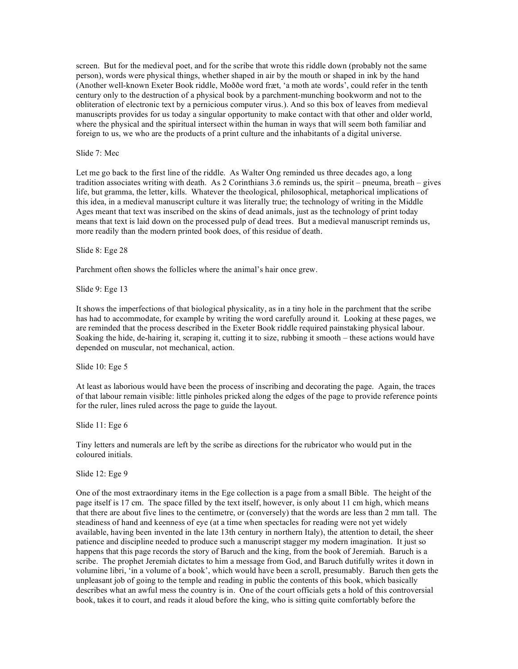screen. But for the medieval poet, and for the scribe that wrote this riddle down (probably not the same person), words were physical things, whether shaped in air by the mouth or shaped in ink by the hand (Another well-known Exeter Book riddle, Moððe word fræt, 'a moth ate words', could refer in the tenth century only to the destruction of a physical book by a parchment-munching bookworm and not to the obliteration of electronic text by a pernicious computer virus.). And so this box of leaves from medieval manuscripts provides for us today a singular opportunity to make contact with that other and older world, where the physical and the spiritual intersect within the human in ways that will seem both familiar and foreign to us, we who are the products of a print culture and the inhabitants of a digital universe.

### Slide 7: Mec

Let me go back to the first line of the riddle. As Walter Ong reminded us three decades ago, a long tradition associates writing with death. As 2 Corinthians 3.6 reminds us, the spirit – pneuma, breath – gives life, but gramma, the letter, kills. Whatever the theological, philosophical, metaphorical implications of this idea, in a medieval manuscript culture it was literally true; the technology of writing in the Middle Ages meant that text was inscribed on the skins of dead animals, just as the technology of print today means that text is laid down on the processed pulp of dead trees. But a medieval manuscript reminds us, more readily than the modern printed book does, of this residue of death.

Slide 8: Ege 28

Parchment often shows the follicles where the animal's hair once grew.

Slide 9: Ege 13

It shows the imperfections of that biological physicality, as in a tiny hole in the parchment that the scribe has had to accommodate, for example by writing the word carefully around it. Looking at these pages, we are reminded that the process described in the Exeter Book riddle required painstaking physical labour. Soaking the hide, de-hairing it, scraping it, cutting it to size, rubbing it smooth – these actions would have depended on muscular, not mechanical, action.

Slide 10: Ege 5

At least as laborious would have been the process of inscribing and decorating the page. Again, the traces of that labour remain visible: little pinholes pricked along the edges of the page to provide reference points for the ruler, lines ruled across the page to guide the layout.

Slide 11: Ege 6

Tiny letters and numerals are left by the scribe as directions for the rubricator who would put in the coloured initials.

Slide 12: Ege 9

One of the most extraordinary items in the Ege collection is a page from a small Bible. The height of the page itself is 17 cm. The space filled by the text itself, however, is only about 11 cm high, which means that there are about five lines to the centimetre, or (conversely) that the words are less than 2 mm tall. The steadiness of hand and keenness of eye (at a time when spectacles for reading were not yet widely available, having been invented in the late 13th century in northern Italy), the attention to detail, the sheer patience and discipline needed to produce such a manuscript stagger my modern imagination. It just so happens that this page records the story of Baruch and the king, from the book of Jeremiah. Baruch is a scribe. The prophet Jeremiah dictates to him a message from God, and Baruch dutifully writes it down in volumine libri, 'in a volume of a book', which would have been a scroll, presumably. Baruch then gets the unpleasant job of going to the temple and reading in public the contents of this book, which basically describes what an awful mess the country is in. One of the court officials gets a hold of this controversial book, takes it to court, and reads it aloud before the king, who is sitting quite comfortably before the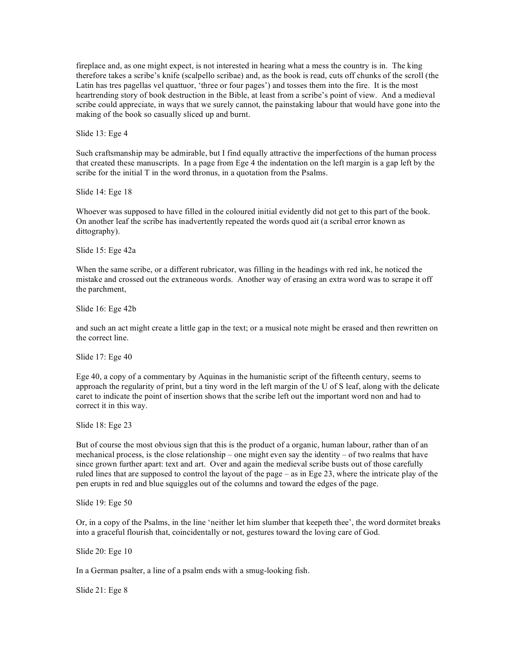fireplace and, as one might expect, is not interested in hearing what a mess the country is in. The king therefore takes a scribe's knife (scalpello scribae) and, as the book is read, cuts off chunks of the scroll (the Latin has tres pagellas vel quattuor, 'three or four pages') and tosses them into the fire. It is the most heartrending story of book destruction in the Bible, at least from a scribe's point of view. And a medieval scribe could appreciate, in ways that we surely cannot, the painstaking labour that would have gone into the making of the book so casually sliced up and burnt.

Slide 13: Ege 4

Such craftsmanship may be admirable, but I find equally attractive the imperfections of the human process that created these manuscripts. In a page from Ege 4 the indentation on the left margin is a gap left by the scribe for the initial T in the word thronus, in a quotation from the Psalms.

Slide 14: Ege 18

Whoever was supposed to have filled in the coloured initial evidently did not get to this part of the book. On another leaf the scribe has inadvertently repeated the words quod ait (a scribal error known as dittography).

Slide 15: Ege 42a

When the same scribe, or a different rubricator, was filling in the headings with red ink, he noticed the mistake and crossed out the extraneous words. Another way of erasing an extra word was to scrape it off the parchment,

Slide 16: Ege 42b

and such an act might create a little gap in the text; or a musical note might be erased and then rewritten on the correct line.

Slide 17: Ege 40

Ege 40, a copy of a commentary by Aquinas in the humanistic script of the fifteenth century, seems to approach the regularity of print, but a tiny word in the left margin of the U of S leaf, along with the delicate caret to indicate the point of insertion shows that the scribe left out the important word non and had to correct it in this way.

Slide 18: Ege 23

But of course the most obvious sign that this is the product of a organic, human labour, rather than of an mechanical process, is the close relationship – one might even say the identity – of two realms that have since grown further apart: text and art. Over and again the medieval scribe busts out of those carefully ruled lines that are supposed to control the layout of the page – as in Ege 23, where the intricate play of the pen erupts in red and blue squiggles out of the columns and toward the edges of the page.

Slide 19: Ege 50

Or, in a copy of the Psalms, in the line 'neither let him slumber that keepeth thee', the word dormitet breaks into a graceful flourish that, coincidentally or not, gestures toward the loving care of God.

Slide 20: Ege 10

In a German psalter, a line of a psalm ends with a smug-looking fish.

Slide 21: Ege 8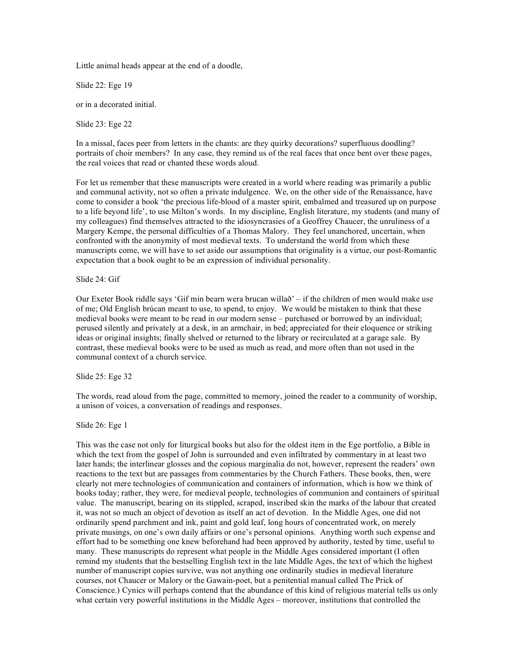Little animal heads appear at the end of a doodle,

Slide 22: Ege 19

or in a decorated initial.

Slide 23: Ege 22

In a missal, faces peer from letters in the chants: are they quirky decorations? superfluous doodling? portraits of choir members? In any case, they remind us of the real faces that once bent over these pages, the real voices that read or chanted these words aloud.

For let us remember that these manuscripts were created in a world where reading was primarily a public and communal activity, not so often a private indulgence. We, on the other side of the Renaissance, have come to consider a book 'the precious life-blood of a master spirit, embalmed and treasured up on purpose to a life beyond life', to use Milton's words. In my discipline, English literature, my students (and many of my colleagues) find themselves attracted to the idiosyncrasies of a Geoffrey Chaucer, the unruliness of a Margery Kempe, the personal difficulties of a Thomas Malory. They feel unanchored, uncertain, when confronted with the anonymity of most medieval texts. To understand the world from which these manuscripts come, we will have to set aside our assumptions that originality is a virtue, our post-Romantic expectation that a book ought to be an expression of individual personality.

Slide 24: Gif

Our Exeter Book riddle says 'Gif min bearn wera brucan willað' – if the children of men would make use of me; Old English brúcan meant to use, to spend, to enjoy. We would be mistaken to think that these medieval books were meant to be read in our modern sense – purchased or borrowed by an individual; perused silently and privately at a desk, in an armchair, in bed; appreciated for their eloquence or striking ideas or original insights; finally shelved or returned to the library or recirculated at a garage sale. By contrast, these medieval books were to be used as much as read, and more often than not used in the communal context of a church service.

Slide 25: Ege 32

The words, read aloud from the page, committed to memory, joined the reader to a community of worship, a unison of voices, a conversation of readings and responses.

Slide 26: Ege 1

This was the case not only for liturgical books but also for the oldest item in the Ege portfolio, a Bible in which the text from the gospel of John is surrounded and even infiltrated by commentary in at least two later hands; the interlinear glosses and the copious marginalia do not, however, represent the readers' own reactions to the text but are passages from commentaries by the Church Fathers. These books, then, were clearly not mere technologies of communication and containers of information, which is how we think of books today; rather, they were, for medieval people, technologies of communion and containers of spiritual value. The manuscript, bearing on its stippled, scraped, inscribed skin the marks of the labour that created it, was not so much an object of devotion as itself an act of devotion. In the Middle Ages, one did not ordinarily spend parchment and ink, paint and gold leaf, long hours of concentrated work, on merely private musings, on one's own daily affairs or one's personal opinions. Anything worth such expense and effort had to be something one knew beforehand had been approved by authority, tested by time, useful to many. These manuscripts do represent what people in the Middle Ages considered important (I often remind my students that the bestselling English text in the late Middle Ages, the text of which the highest number of manuscript copies survive, was not anything one ordinarily studies in medieval literature courses, not Chaucer or Malory or the Gawain-poet, but a penitential manual called The Prick of Conscience.) Cynics will perhaps contend that the abundance of this kind of religious material tells us only what certain very powerful institutions in the Middle Ages – moreover, institutions that controlled the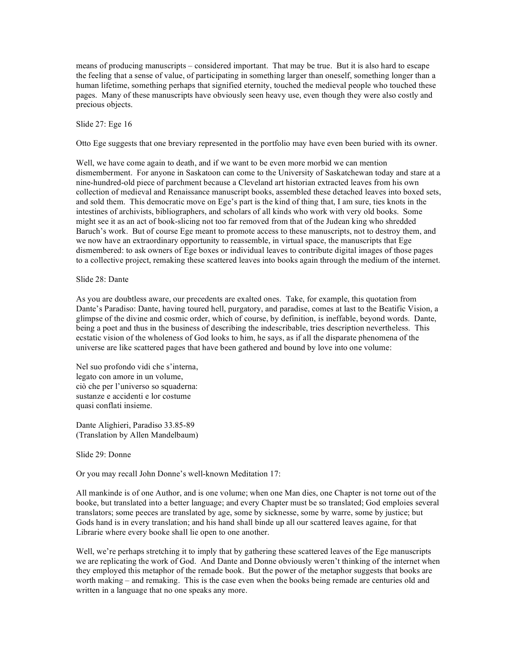means of producing manuscripts – considered important. That may be true. But it is also hard to escape the feeling that a sense of value, of participating in something larger than oneself, something longer than a human lifetime, something perhaps that signified eternity, touched the medieval people who touched these pages. Many of these manuscripts have obviously seen heavy use, even though they were also costly and precious objects.

## Slide 27: Ege 16

Otto Ege suggests that one breviary represented in the portfolio may have even been buried with its owner.

Well, we have come again to death, and if we want to be even more morbid we can mention dismemberment. For anyone in Saskatoon can come to the University of Saskatchewan today and stare at a nine-hundred-old piece of parchment because a Cleveland art historian extracted leaves from his own collection of medieval and Renaissance manuscript books, assembled these detached leaves into boxed sets, and sold them. This democratic move on Ege's part is the kind of thing that, I am sure, ties knots in the intestines of archivists, bibliographers, and scholars of all kinds who work with very old books. Some might see it as an act of book-slicing not too far removed from that of the Judean king who shredded Baruch's work. But of course Ege meant to promote access to these manuscripts, not to destroy them, and we now have an extraordinary opportunity to reassemble, in virtual space, the manuscripts that Ege dismembered: to ask owners of Ege boxes or individual leaves to contribute digital images of those pages to a collective project, remaking these scattered leaves into books again through the medium of the internet.

# Slide 28: Dante

As you are doubtless aware, our precedents are exalted ones. Take, for example, this quotation from Dante's Paradiso: Dante, having toured hell, purgatory, and paradise, comes at last to the Beatific Vision, a glimpse of the divine and cosmic order, which of course, by definition, is ineffable, beyond words. Dante, being a poet and thus in the business of describing the indescribable, tries description nevertheless. This ecstatic vision of the wholeness of God looks to him, he says, as if all the disparate phenomena of the universe are like scattered pages that have been gathered and bound by love into one volume:

Nel suo profondo vidi che s'interna, legato con amore in un volume, ciò che per l'universo so squaderna: sustanze e accidenti e lor costume quasi conflati insieme.

Dante Alighieri, Paradiso 33.85-89 (Translation by Allen Mandelbaum)

Slide 29: Donne

Or you may recall John Donne's well-known Meditation 17:

All mankinde is of one Author, and is one volume; when one Man dies, one Chapter is not torne out of the booke, but translated into a better language; and every Chapter must be so translated; God emploies several translators; some peeces are translated by age, some by sicknesse, some by warre, some by justice; but Gods hand is in every translation; and his hand shall binde up all our scattered leaves againe, for that Librarie where every booke shall lie open to one another.

Well, we're perhaps stretching it to imply that by gathering these scattered leaves of the Ege manuscripts we are replicating the work of God. And Dante and Donne obviously weren't thinking of the internet when they employed this metaphor of the remade book. But the power of the metaphor suggests that books are worth making – and remaking. This is the case even when the books being remade are centuries old and written in a language that no one speaks any more.